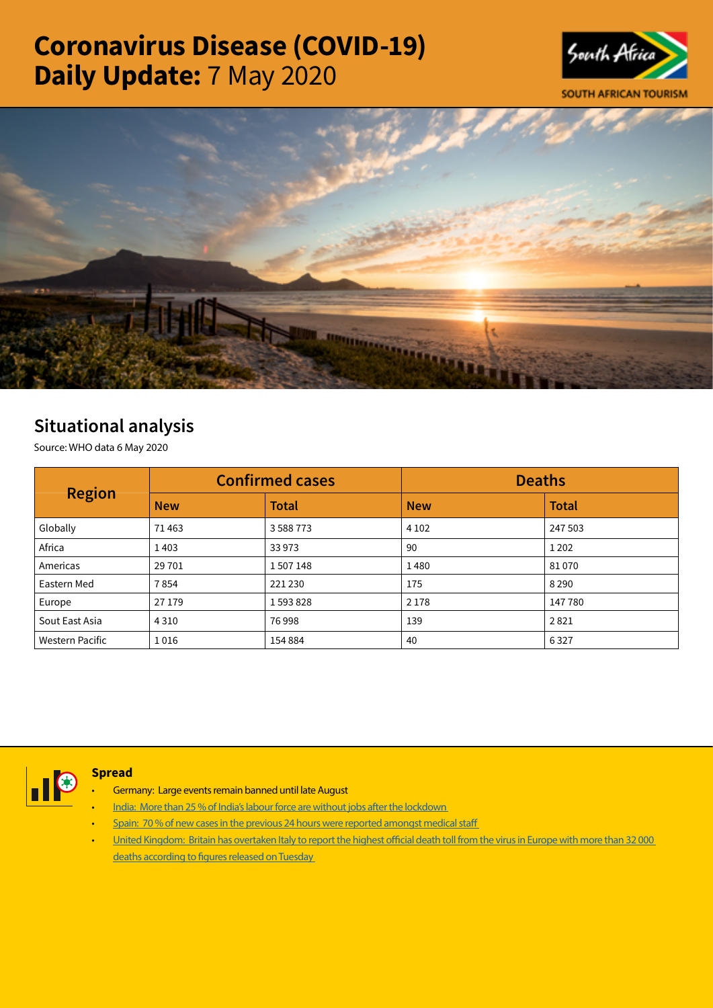# Coronavirus Disease (COVID-19) Daily Update: 7 May 2020





# Situational analysis

Source: WHO data 6 May 2020

| <b>Region</b>          | <b>Confirmed cases</b> |               | <b>Deaths</b> |              |  |
|------------------------|------------------------|---------------|---------------|--------------|--|
|                        | <b>New</b>             | <b>Total</b>  | <b>New</b>    | <b>Total</b> |  |
| Globally               | 71463                  | 3 5 8 8 7 7 3 | 4 1 0 2       | 247 503      |  |
| Africa                 | 1403                   | 33 973        | 90            | 1 2 0 2      |  |
| Americas               | 29 701                 | 1507148       | 1480          | 81070        |  |
| Eastern Med            | 7854                   | 221 230       | 175           | 8 2 9 0      |  |
| Europe                 | 27 179                 | 1593828       | 2 1 7 8       | 147780       |  |
| Sout East Asia         | 4 3 1 0                | 76998         | 139           | 2821         |  |
| <b>Western Pacific</b> | 1016                   | 154 884       | 40            | 6327         |  |



## **Spread**

- Germany: Large events remain banned until late August
- [India: More than 25 % of India's labour force are without jobs after the lockdown](https://t.co/GvnIGjefhp?amp=1)
- Spain: 70 % of new cases in the previous 24 hours were reported amongst medical staff
- [United Kingdom: Britain has overtaken Italy to report the highest official death toll from the virus in Europe with more than 32 000](https://t.co/Y5kKNhcndP?amp=1)  [deaths according to figures released on Tuesday](https://t.co/Y5kKNhcndP?amp=1)